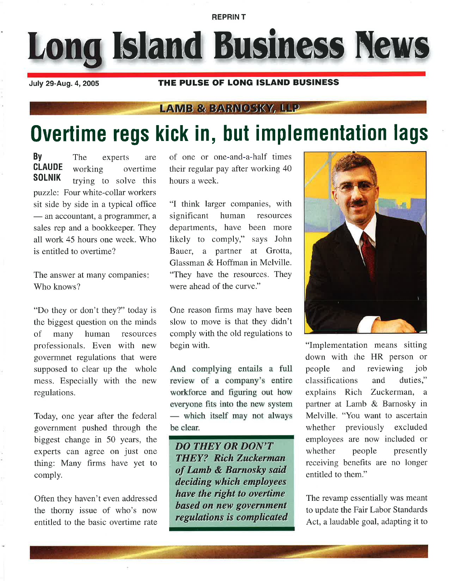REPRIN T

Long Island Business News

July 29-Aug. 4,20Os

## THE PULSE OF LONG ISLAND BUSINESS

## **LAMB & BARNOSKY, LLP**

## Overtime regs kick in, but implementation lags

**By** The experts are<br>**CLAUDE** working overtime **CLAUDE** working overtime trying to solve this puzzle: Four white-collar workers sit side by side in a typical office — an accountant, a programmer, a<br>sales rep and a bookkeeper. They — an accountant, a programmer, a all work 45 hours one week. Who is entitled to overtime?

The answer at many companies Who knows?

"Do they or don't they?" today is the biggest question on the minds of many human resources professionals. Even with new govermnet regulations that were supposed to clear up the whole mess. Especially with the new regulations.

Today, one year after the federal government pushed through the biggest change in 50 years, the experts can agree on just one thing: Many firms have yet to comply.

Often they haven't even addressed the thorny issue of who's now entitled to the basic overtime rate of one or one-and-a-half times their regular pay after working 40 hours a week.

"I think larger companies, with significant human resources departments, have been more likely to comply," says John Bauer, a partner at Grotta, Glassman & Hoffman in Melville. "They have the resources. They were ahead of the curve."

One reason firms may have been slow to move is that they didn't comply with the old regulations to begin with.

And complying entails a full review of a company's entire workforce and figuring out how everyone fits into the new system — wind<br>be clear. which itself may not always

DO THEY OR DON'T **THEY? Rich Zuckerman** of Lamb & Barnosky said deciding which employees have the ríght to overtíme based on new government regulations is complicated



"Implementation means sitting down with the HR person or people and reviewing job classifications and duties," explains Rich Zuckerman, <sup>a</sup> partner at Lamb & Barnosky in Melville. "You want to ascertain whether previously excluded employees are now included or whether people presently receiving benefits are no longer entitled to them."

The revamp essentially was meant to update the Fair Labor Standards Act, a laudable goal, adapting it to